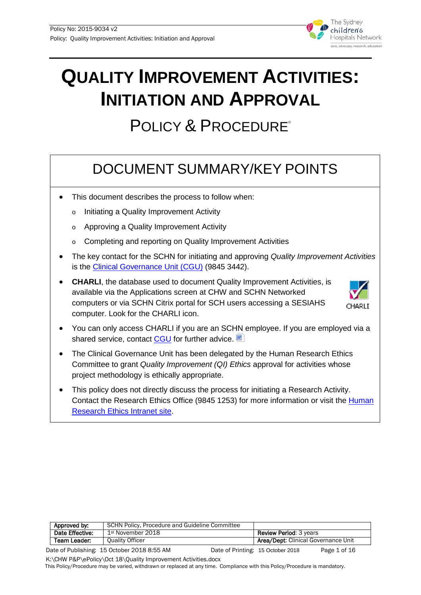

# **QUALITY IMPROVEMENT ACTIVITIES: INITIATION AND APPROVAL**

# POLICY & PROCEDURE®

# DOCUMENT SUMMARY/KEY POINTS

- This document describes the process to follow when:
	- o Initiating a Quality Improvement Activity
	- o Approving a Quality Improvement Activity
	- o Completing and reporting on Quality Improvement Activities
- The key contact for the SCHN for initiating and approving *Quality Improvement Activities* is the [Clinical Governance Unit \(CGU\)](mailto:schn-cgu@health.nsw.gov.au) (9845 3442).
- **CHARLI**, the database used to document Quality Improvement Activities, is available via the Applications screen at CHW and SCHN Networked computers or via SCHN Citrix portal for SCH users accessing a SESIAHS computer. Look for the CHARLI icon.



- You can only access CHARLI if you are an SCHN employee. If you are employed via a shared service, contact [CGU](mailto:schn-cgu@health.nsw.gov.au) for further advice.
- The Clinical Governance Unit has been delegated by the Human Research Ethics Committee to grant *Quality Improvement (QI) Ethics* approval for activities whose project methodology is ethically appropriate.
- This policy does not directly discuss the process for initiating a Research Activity. Contact the Research Ethics Office (9845 1253) for more information or visit the [Human](https://www.schn.health.nsw.gov.au/research/ethics-governance/ethics)  [Research Ethics](https://www.schn.health.nsw.gov.au/research/ethics-governance/ethics) Intranet site.

|                                             | Approved by:    | SCHN Policy, Procedure and Guideline Committee |  |                                            |              |
|---------------------------------------------|-----------------|------------------------------------------------|--|--------------------------------------------|--------------|
|                                             | Date Effective: | 1st November 2018                              |  | <b>Review Period: 3 years</b>              |              |
|                                             | Team Leader:    | Ouality Officer                                |  | <b>Area/Dept: Clinical Governance Unit</b> |              |
| Date of Publishing: 15 October 2018 8:55 AM |                 |                                                |  | Date of Printing: 15 October 2018          | Page 1 of 16 |

Date of Publishing: 15 October 2018 8:55 AM Date of Printing: 15 October 2018 Page 1 of 16

K:\CHW P&P\ePolicy\Oct 18\Quality Improvement Activities.docx

This Policy/Procedure may be varied, withdrawn or replaced at any time. Compliance with this Policy/Procedure is mandatory.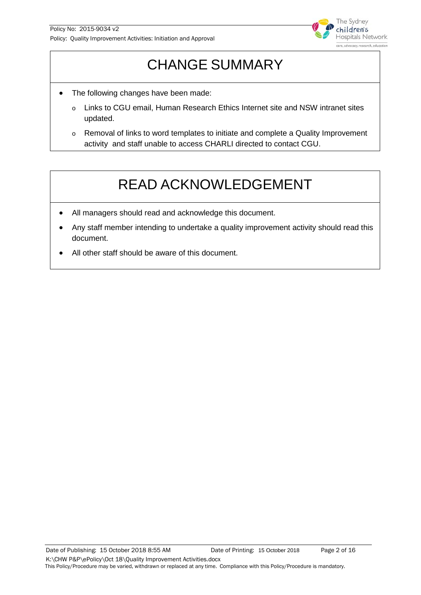

# CHANGE SUMMARY

- The following changes have been made:
	- o Links to CGU email, Human Research Ethics Internet site and NSW intranet sites updated.
	- o Removal of links to word templates to initiate and complete a Quality Improvement activity and staff unable to access CHARLI directed to contact CGU.

# READ ACKNOWLEDGEMENT

- All managers should read and acknowledge this document.
- Any staff member intending to undertake a quality improvement activity should read this document.
- All other staff should be aware of this document.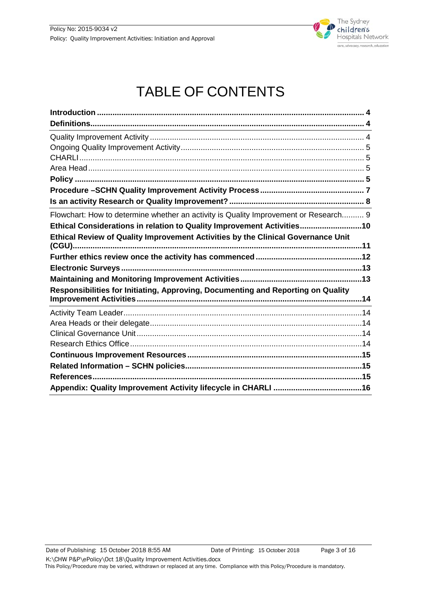

# TABLE OF CONTENTS

| Flowchart: How to determine whether an activity is Quality Improvement or Research 9 |
|--------------------------------------------------------------------------------------|
| Ethical Considerations in relation to Quality Improvement Activities10               |
| Ethical Review of Quality Improvement Activities by the Clinical Governance Unit     |
|                                                                                      |
|                                                                                      |
|                                                                                      |
| Responsibilities for Initiating, Approving, Documenting and Reporting on Quality     |
|                                                                                      |
|                                                                                      |
|                                                                                      |
|                                                                                      |
|                                                                                      |
|                                                                                      |
|                                                                                      |
|                                                                                      |
|                                                                                      |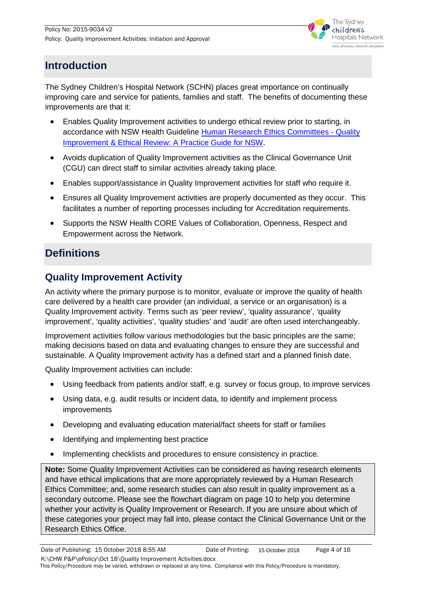

# <span id="page-3-0"></span>**Introduction**

The Sydney Children's Hospital Network (SCHN) places great importance on continually improving care and service for patients, families and staff. The benefits of documenting these improvements are that it:

- Enables Quality Improvement activities to undergo ethical review prior to starting, in accordance with NSW Health Guideline [Human Research Ethics Committees -](http://www1.health.nsw.gov.au/pds/ActivePDSDocuments/GL2007_020.pdf) Quality [Improvement & Ethical Review: A Practice Guide](http://www1.health.nsw.gov.au/pds/ActivePDSDocuments/GL2007_020.pdf) for NSW.
- Avoids duplication of Quality Improvement activities as the Clinical Governance Unit (CGU) can direct staff to similar activities already taking place.
- Enables support/assistance in Quality Improvement activities for staff who require it.
- Ensures all Quality Improvement activities are properly documented as they occur. This facilitates a number of reporting processes including for Accreditation requirements.
- Supports the NSW Health CORE Values of Collaboration, Openness, Respect and Empowerment across the Network.

# <span id="page-3-1"></span>**Definitions**

#### <span id="page-3-2"></span>**Quality Improvement Activity**

An activity where the primary purpose is to monitor, evaluate or improve the quality of health care delivered by a health care provider (an individual, a service or an organisation) is a Quality Improvement activity. Terms such as 'peer review', 'quality assurance', 'quality improvement', 'quality activities', 'quality studies' and 'audit' are often used interchangeably.

Improvement activities follow various methodologies but the basic principles are the same; making decisions based on data and evaluating changes to ensure they are successful and sustainable. A Quality Improvement activity has a defined start and a planned finish date.

Quality Improvement activities can include:

- Using feedback from patients and/or staff, e.g. survey or focus group, to improve services
- Using data, e.g. audit results or incident data, to identify and implement process improvements
- Developing and evaluating education material/fact sheets for staff or families
- Identifying and implementing best practice
- Implementing checklists and procedures to ensure consistency in practice.

**Note:** Some Quality Improvement Activities can be considered as having research elements and have ethical implications that are more appropriately reviewed by a Human Research Ethics Committee; and, some research studies can also result in quality improvement as a secondary outcome. Please see the flowchart diagram on page 10 to help you determine whether your activity is Quality Improvement or Research. If you are unsure about which of these categories your project may fall into, please contact the Clinical Governance Unit or the Research Ethics Office.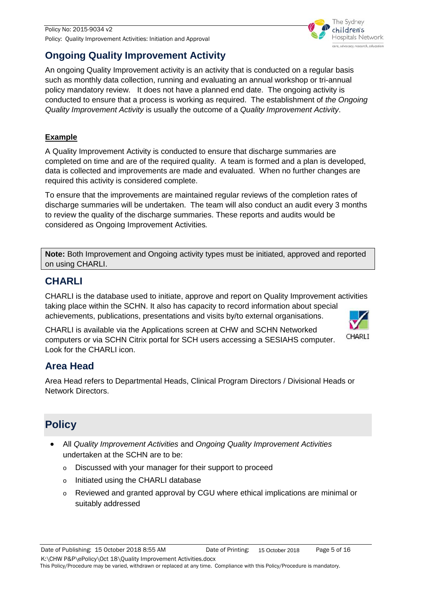

# <span id="page-4-0"></span>**Ongoing Quality Improvement Activity**

An ongoing Quality Improvement activity is an activity that is conducted on a regular basis such as monthly data collection, running and evaluating an annual workshop or tri-annual policy mandatory review. It does not have a planned end date. The ongoing activity is conducted to ensure that a process is working as required. The establishment of *the Ongoing Quality Improvement Activity* is usually the outcome of a *Quality Improvement Activity*.

#### **Example**

A Quality Improvement Activity is conducted to ensure that discharge summaries are completed on time and are of the required quality. A team is formed and a plan is developed, data is collected and improvements are made and evaluated. When no further changes are required this activity is considered complete.

To ensure that the improvements are maintained regular reviews of the completion rates of discharge summaries will be undertaken. The team will also conduct an audit every 3 months to review the quality of the discharge summaries. These reports and audits would be considered as Ongoing Improvement Activities*.*

**Note:** Both Improvement and Ongoing activity types must be initiated, approved and reported on using CHARLI.

## <span id="page-4-1"></span>**CHARLI**

CHARLI is the database used to initiate, approve and report on Quality Improvement activities taking place within the SCHN. It also has capacity to record information about special achievements, publications, presentations and visits by/to external organisations.

CHARLI is available via the Applications screen at CHW and SCHN Networked computers or via SCHN Citrix portal for SCH users accessing a SESIAHS computer. Look for the CHARLI icon.

# CHARLI

## <span id="page-4-2"></span>**Area Head**

Area Head refers to Departmental Heads, Clinical Program Directors / Divisional Heads or Network Directors.

# <span id="page-4-3"></span>**Policy**

- All *Quality Improvement Activities* and *Ongoing Quality Improvement Activities* undertaken at the SCHN are to be:
	- o Discussed with your manager for their support to proceed
	- o Initiated using the CHARLI database
	- $\circ$  Reviewed and granted approval by CGU where ethical implications are minimal or suitably addressed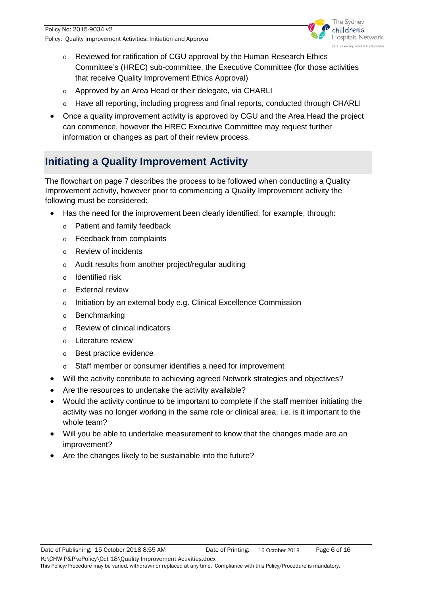

- o Reviewed for ratification of CGU approval by the Human Research Ethics Committee's (HREC) sub-committee, the Executive Committee (for those activities that receive Quality Improvement Ethics Approval)
- o Approved by an Area Head or their delegate, via CHARLI
- o Have all reporting, including progress and final reports, conducted through CHARLI
- Once a quality improvement activity is approved by CGU and the Area Head the project can commence, however the HREC Executive Committee may request further information or changes as part of their review process.

# **Initiating a Quality Improvement Activity**

The flowchart on page 7 describes the process to be followed when conducting a Quality Improvement activity, however prior to commencing a Quality Improvement activity the following must be considered:

- Has the need for the improvement been clearly identified, for example, through:
	- o Patient and family feedback
	- o Feedback from complaints
	- o Review of incidents
	- o Audit results from another project/regular auditing
	- o Identified risk
	- o External review
	- o Initiation by an external body e.g. Clinical Excellence Commission
	- o Benchmarking
	- o Review of clinical indicators
	- o Literature review
	- o Best practice evidence
	- o Staff member or consumer identifies a need for improvement
- Will the activity contribute to achieving agreed Network strategies and objectives?
- Are the resources to undertake the activity available?
- Would the activity continue to be important to complete if the staff member initiating the activity was no longer working in the same role or clinical area, i.e. is it important to the whole team?
- Will you be able to undertake measurement to know that the changes made are an improvement?
- Are the changes likely to be sustainable into the future?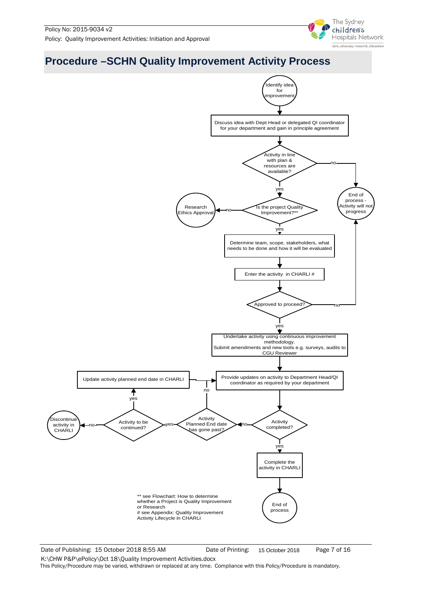

# <span id="page-6-0"></span>**Procedure –SCHN Quality Improvement Activity Process**



Date of Publishing: 15 October 2018 8:55 AM Date of Printing: 15 October 2018 Page 7 of 16

15 October 2018

K:\CHW P&P\ePolicy\Oct 18\Quality Improvement Activities.docx This Policy/Procedure may be varied, withdrawn or replaced at any time. Compliance with this Policy/Procedure is mandatory.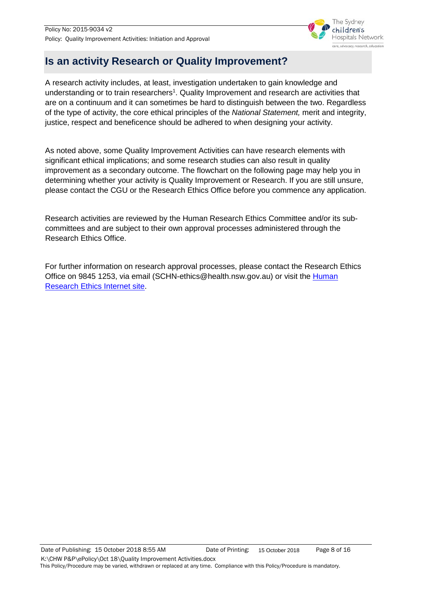

# <span id="page-7-0"></span>**Is an activity Research or Quality Improvement?**

A research activity includes, at least, investigation undertaken to gain knowledge and understanding or to train researchers<sup>1</sup>. Quality Improvement and research are activities that are on a continuum and it can sometimes be hard to distinguish between the two. Regardless of the type of activity, the core ethical principles of the *National Statement,* merit and integrity, justice, respect and beneficence should be adhered to when designing your activity.

As noted above, some Quality Improvement Activities can have research elements with significant ethical implications; and some research studies can also result in quality improvement as a secondary outcome. The flowchart on the following page may help you in determining whether your activity is Quality Improvement or Research. If you are still unsure, please contact the CGU or the Research Ethics Office before you commence any application.

Research activities are reviewed by the Human Research Ethics Committee and/or its subcommittees and are subject to their own approval processes administered through the Research Ethics Office.

For further information on research approval processes, please contact the Research Ethics Office on 9845 1253, via email (SCHN-ethics@health.nsw.gov.au) or visit the Human [Research Ethics](https://www.schn.health.nsw.gov.au/research/ethics-governance/ethics) Internet site.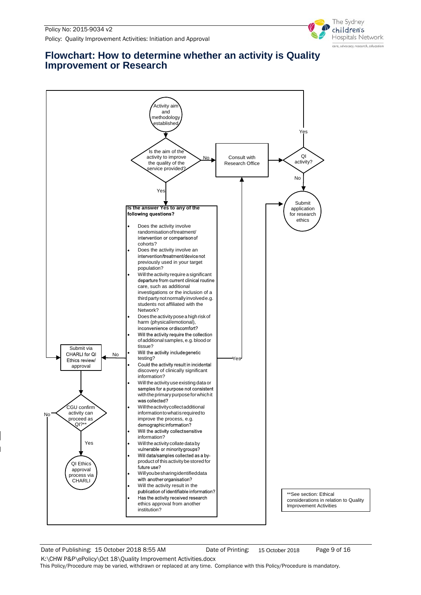

#### <span id="page-8-0"></span>**Flowchart: How to determine whether an activity is Quality Improvement or Research**



Date of Publishing: 15 October 2018 8:55 AM Date of Printing: 15 October 2018 Page 9 of 16

15 October 2018

K:\CHW P&P\ePolicy\Oct 18\Quality Improvement Activities.docx This Policy/Procedure may be varied, withdrawn or replaced at any time. Compliance with this Policy/Procedure is mandatory.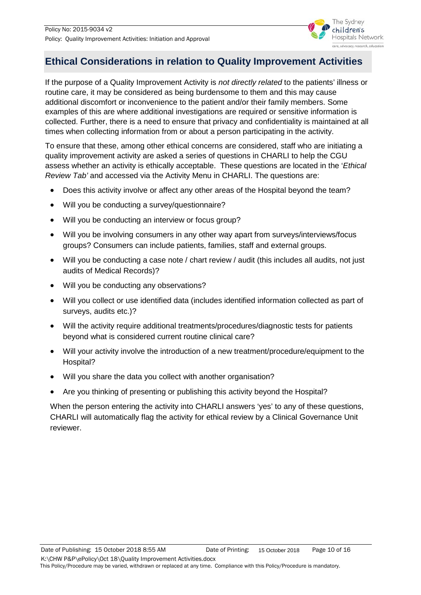

# <span id="page-9-0"></span>**Ethical Considerations in relation to Quality Improvement Activities**

If the purpose of a Quality Improvement Activity is *not directly related* to the patients' illness or routine care, it may be considered as being burdensome to them and this may cause additional discomfort or inconvenience to the patient and/or their family members. Some examples of this are where additional investigations are required or sensitive information is collected. Further, there is a need to ensure that privacy and confidentiality is maintained at all times when collecting information from or about a person participating in the activity.

To ensure that these, among other ethical concerns are considered, staff who are initiating a quality improvement activity are asked a series of questions in CHARLI to help the CGU assess whether an activity is ethically acceptable. These questions are located in the '*Ethical Review Tab'* and accessed via the Activity Menu in CHARLI. The questions are:

- Does this activity involve or affect any other areas of the Hospital beyond the team?
- Will you be conducting a survey/questionnaire?
- Will you be conducting an interview or focus group?
- Will you be involving consumers in any other way apart from surveys/interviews/focus groups? Consumers can include patients, families, staff and external groups.
- Will you be conducting a case note / chart review / audit (this includes all audits, not just audits of Medical Records)?
- Will you be conducting any observations?
- Will you collect or use identified data (includes identified information collected as part of surveys, audits etc.)?
- Will the activity require additional treatments/procedures/diagnostic tests for patients beyond what is considered current routine clinical care?
- Will your activity involve the introduction of a new treatment/procedure/equipment to the Hospital?
- Will you share the data you collect with another organisation?
- Are you thinking of presenting or publishing this activity beyond the Hospital?

When the person entering the activity into CHARLI answers 'yes' to any of these questions, CHARLI will automatically flag the activity for ethical review by a Clinical Governance Unit reviewer.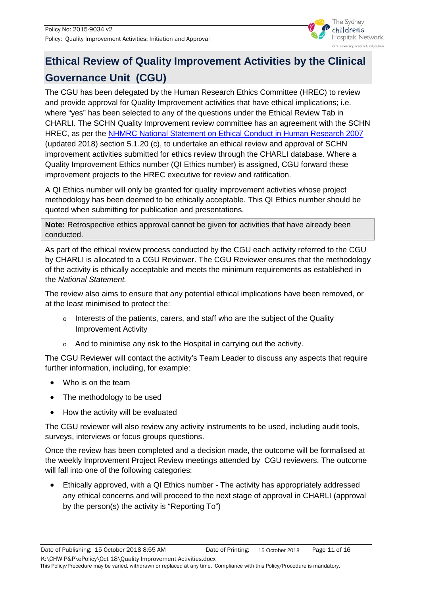

# <span id="page-10-0"></span>**Ethical Review of Quality Improvement Activities by the Clinical Governance Unit (CGU)**

The CGU has been delegated by the Human Research Ethics Committee (HREC) to review and provide approval for Quality Improvement activities that have ethical implications; i.e. where "yes" has been selected to any of the questions under the Ethical Review Tab in CHARLI. The SCHN Quality Improvement review committee has an agreement with the SCHN HREC, as per the **NHMRC National Statement on Ethical Conduct in Human Research 2007** (updated 2018) section 5.1.20 (c), to undertake an ethical review and approval of SCHN improvement activities submitted for ethics review through the CHARLI database. Where a Quality Improvement Ethics number (QI Ethics number) is assigned, CGU forward these improvement projects to the HREC executive for review and ratification.

A QI Ethics number will only be granted for quality improvement activities whose project methodology has been deemed to be ethically acceptable. This QI Ethics number should be quoted when submitting for publication and presentations.

**Note:** Retrospective ethics approval cannot be given for activities that have already been conducted.

As part of the ethical review process conducted by the CGU each activity referred to the CGU by CHARLI is allocated to a CGU Reviewer. The CGU Reviewer ensures that the methodology of the activity is ethically acceptable and meets the minimum requirements as established in the *National Statement.* 

The review also aims to ensure that any potential ethical implications have been removed, or at the least minimised to protect the:

- $\circ$  Interests of the patients, carers, and staff who are the subject of the Quality Improvement Activity
- o And to minimise any risk to the Hospital in carrying out the activity.

The CGU Reviewer will contact the activity's Team Leader to discuss any aspects that require further information, including, for example:

- Who is on the team
- The methodology to be used
- How the activity will be evaluated

The CGU reviewer will also review any activity instruments to be used, including audit tools, surveys, interviews or focus groups questions.

Once the review has been completed and a decision made, the outcome will be formalised at the weekly Improvement Project Review meetings attended by CGU reviewers. The outcome will fall into one of the following categories:

• Ethically approved, with a QI Ethics number - The activity has appropriately addressed any ethical concerns and will proceed to the next stage of approval in CHARLI (approval by the person(s) the activity is "Reporting To")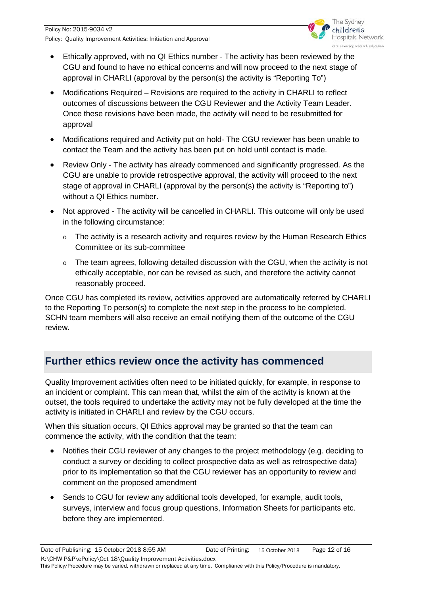

- Ethically approved, with no QI Ethics number The activity has been reviewed by the CGU and found to have no ethical concerns and will now proceed to the next stage of approval in CHARLI (approval by the person(s) the activity is "Reporting To")
- Modifications Required Revisions are required to the activity in CHARLI to reflect outcomes of discussions between the CGU Reviewer and the Activity Team Leader. Once these revisions have been made, the activity will need to be resubmitted for approval
- Modifications required and Activity put on hold- The CGU reviewer has been unable to contact the Team and the activity has been put on hold until contact is made.
- Review Only The activity has already commenced and significantly progressed. As the CGU are unable to provide retrospective approval, the activity will proceed to the next stage of approval in CHARLI (approval by the person(s) the activity is "Reporting to") without a QI Ethics number.
- Not approved The activity will be cancelled in CHARLI. This outcome will only be used in the following circumstance:
	- $\circ$  The activity is a research activity and requires review by the Human Research Ethics Committee or its sub-committee
	- o The team agrees, following detailed discussion with the CGU, when the activity is not ethically acceptable, nor can be revised as such, and therefore the activity cannot reasonably proceed.

Once CGU has completed its review, activities approved are automatically referred by CHARLI to the Reporting To person(s) to complete the next step in the process to be completed. SCHN team members will also receive an email notifying them of the outcome of the CGU review.

## <span id="page-11-0"></span>**Further ethics review once the activity has commenced**

Quality Improvement activities often need to be initiated quickly, for example, in response to an incident or complaint. This can mean that, whilst the aim of the activity is known at the outset, the tools required to undertake the activity may not be fully developed at the time the activity is initiated in CHARLI and review by the CGU occurs.

When this situation occurs, QI Ethics approval may be granted so that the team can commence the activity, with the condition that the team:

- Notifies their CGU reviewer of any changes to the project methodology (e.g. deciding to conduct a survey or deciding to collect prospective data as well as retrospective data) prior to its implementation so that the CGU reviewer has an opportunity to review and comment on the proposed amendment
- Sends to CGU for review any additional tools developed, for example, audit tools, surveys, interview and focus group questions, Information Sheets for participants etc. before they are implemented.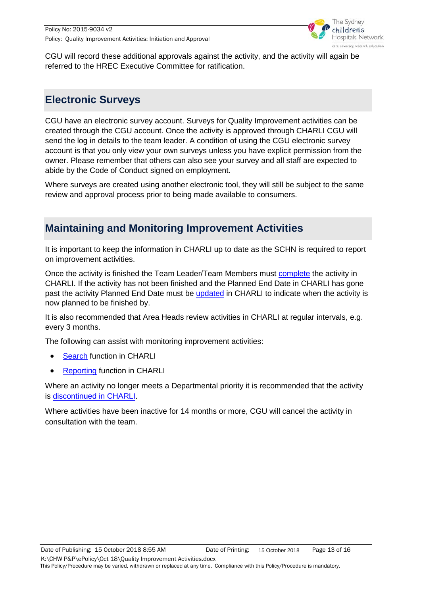

CGU will record these additional approvals against the activity, and the activity will again be referred to the HREC Executive Committee for ratification.

# <span id="page-12-0"></span>**Electronic Surveys**

CGU have an electronic survey account. Surveys for Quality Improvement activities can be created through the CGU account. Once the activity is approved through CHARLI CGU will send the log in details to the team leader. A condition of using the CGU electronic survey account is that you only view your own surveys unless you have explicit permission from the owner. Please remember that others can also see your survey and all staff are expected to abide by the Code of Conduct signed on employment.

Where surveys are created using another electronic tool, they will still be subject to the same review and approval process prior to being made available to consumers.

# <span id="page-12-1"></span>**Maintaining and Monitoring Improvement Activities**

It is important to keep the information in CHARLI up to date as the SCHN is required to report on improvement activities.

Once the activity is finished the Team Leader/Team Members must [complete](http://chw.schn.health.nsw.gov.au/ou/siu/resources/CHARLI/FAQs/completing_an_activity_in_charli.pdf) the activity in CHARLI. If the activity has not been finished and the Planned End Date in CHARLI has gone past the activity Planned End Date must be [updated](http://chw.schn.health.nsw.gov.au/ou/siu/resources/CHARLI/FAQs/planned_end_date_-_how_to_update_this_in_charli.pdf) in CHARLI to indicate when the activity is now planned to be finished by.

It is also recommended that Area Heads review activities in CHARLI at regular intervals, e.g. every 3 months.

The following can assist with monitoring improvement activities:

- **[Search](http://chw.schn.health.nsw.gov.au/ou/siu/resources/CHARLI/FAQs/search_by_department.pdf) function in CHARLI**
- **[Reporting](http://chw.schn.health.nsw.gov.au/ou/siu/resources/CHARLI/FAQs/reports_-_accessing_the_sql_reports_window.pdf) function in CHARLI**

Where an activity no longer meets a Departmental priority it is recommended that the activity is [discontinued in CHARLI.](http://chw.schn.health.nsw.gov.au/ou/siu/resources/CHARLI/FAQs/discontinuing_an_activity_in_charli.pdf)

Where activities have been inactive for 14 months or more, CGU will cancel the activity in consultation with the team.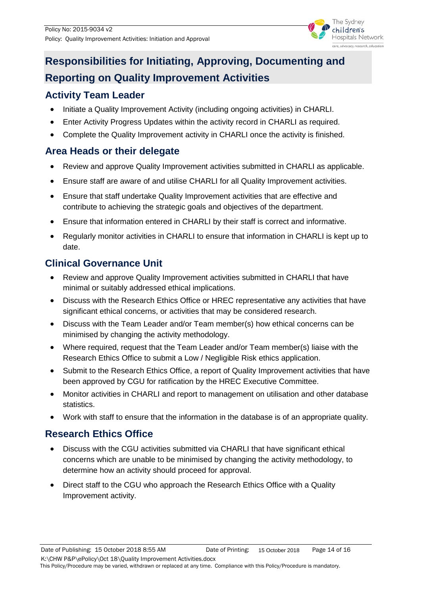

# <span id="page-13-0"></span>**Responsibilities for Initiating, Approving, Documenting and Reporting on Quality Improvement Activities**

#### <span id="page-13-1"></span>**Activity Team Leader**

- Initiate a Quality Improvement Activity (including ongoing activities) in CHARLI.
- Enter Activity Progress Updates within the activity record in CHARLI as required.
- Complete the Quality Improvement activity in CHARLI once the activity is finished.

#### <span id="page-13-2"></span>**Area Heads or their delegate**

- Review and approve Quality Improvement activities submitted in CHARLI as applicable.
- Ensure staff are aware of and utilise CHARLI for all Quality Improvement activities.
- Ensure that staff undertake Quality Improvement activities that are effective and contribute to achieving the strategic goals and objectives of the department.
- Ensure that information entered in CHARLI by their staff is correct and informative.
- Regularly monitor activities in CHARLI to ensure that information in CHARLI is kept up to date.

# <span id="page-13-3"></span>**Clinical Governance Unit**

- Review and approve Quality Improvement activities submitted in CHARLI that have minimal or suitably addressed ethical implications.
- Discuss with the Research Ethics Office or HREC representative any activities that have significant ethical concerns, or activities that may be considered research.
- Discuss with the Team Leader and/or Team member(s) how ethical concerns can be minimised by changing the activity methodology.
- Where required, request that the Team Leader and/or Team member(s) liaise with the Research Ethics Office to submit a Low / Negligible Risk ethics application.
- Submit to the Research Ethics Office, a report of Quality Improvement activities that have been approved by CGU for ratification by the HREC Executive Committee.
- Monitor activities in CHARLI and report to management on utilisation and other database statistics.
- Work with staff to ensure that the information in the database is of an appropriate quality.

## <span id="page-13-4"></span>**Research Ethics Office**

- Discuss with the CGU activities submitted via CHARLI that have significant ethical concerns which are unable to be minimised by changing the activity methodology, to determine how an activity should proceed for approval.
- Direct staff to the CGU who approach the Research Ethics Office with a Quality Improvement activity.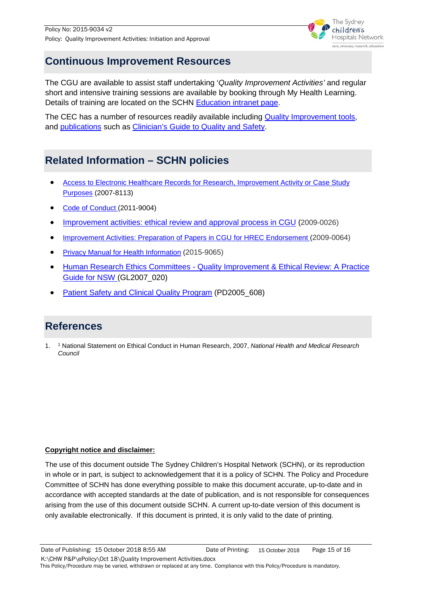

### <span id="page-14-0"></span>**Continuous Improvement Resources**

The CGU are available to assist staff undertaking '*Quality Improvement Activities'* and regular short and intensive training sessions are available by booking through My Health Learning. Details of training are located on the SCHN [Education](http://intranet.schn.health.nsw.gov.au/education-and-development) intranet page.

The CEC has a number of resources readily available including [Quality Improvement tools,](http://www.cec.health.nsw.gov.au/quality-improvement/improvement-academy/quality-improvement-tools) and [publications](http://www.cec.health.nsw.gov.au/knowledge-and-resources/publications-library/reports/quality-improvement) such as [Clinician's Guide to Quality and Safety.](http://www.cec.health.nsw.gov.au/__data/assets/pdf_file/0009/327564/CEC-Guide-to-Quality-and-Safety.pdf)

# <span id="page-14-1"></span>**Related Information – SCHN policies**

- [Access to Electronic Healthcare Records for Research, Improvement Activity or Case Study](http://webapps.schn.health.nsw.gov.au/epolicy/policy/4063)  [Purposes](http://webapps.schn.health.nsw.gov.au/epolicy/policy/4063) (2007-8113)
- [Code of Conduct \(](http://webapps.schn.health.nsw.gov.au/epolicy/policy/2568)2011-9004)
- [Improvement activities: ethical review and approval process in CGU](http://webapps.schn.health.nsw.gov.au/epolicy/policy/2006) (2009-0026)
- [Improvement Activities: Preparation of Papers in CGU for HREC Endorsement \(](http://webapps.schn.health.nsw.gov.au/epolicy/policy/2212)2009-0064)
- [Privacy Manual for Health Information](http://webapps.schn.health.nsw.gov.au/epolicy/policy/3409) (2015-9065)
- Human Research Ethics Committees [Quality Improvement & Ethical Review: A Practice](https://www1.health.nsw.gov.au/pds/ActivePDSDocuments/GL2007_020.pdf)  [Guide for NSW \(](https://www1.health.nsw.gov.au/pds/ActivePDSDocuments/GL2007_020.pdf)GL2007\_020)
- [Patient Safety and Clinical Quality Program](https://www1.health.nsw.gov.au/pds/ActivePDSDocuments/PD2005_608.pdf) (PD2005\_608)

# <span id="page-14-2"></span>**References**

1. <sup>1</sup> National Statement on Ethical Conduct in Human Research, 2007, *National Health and Medical Research Council*

#### **Copyright notice and disclaimer:**

The use of this document outside The Sydney Children's Hospital Network (SCHN), or its reproduction in whole or in part, is subject to acknowledgement that it is a policy of SCHN. The Policy and Procedure Committee of SCHN has done everything possible to make this document accurate, up-to-date and in accordance with accepted standards at the date of publication, and is not responsible for consequences arising from the use of this document outside SCHN. A current up-to-date version of this document is only available electronically. If this document is printed, it is only valid to the date of printing.